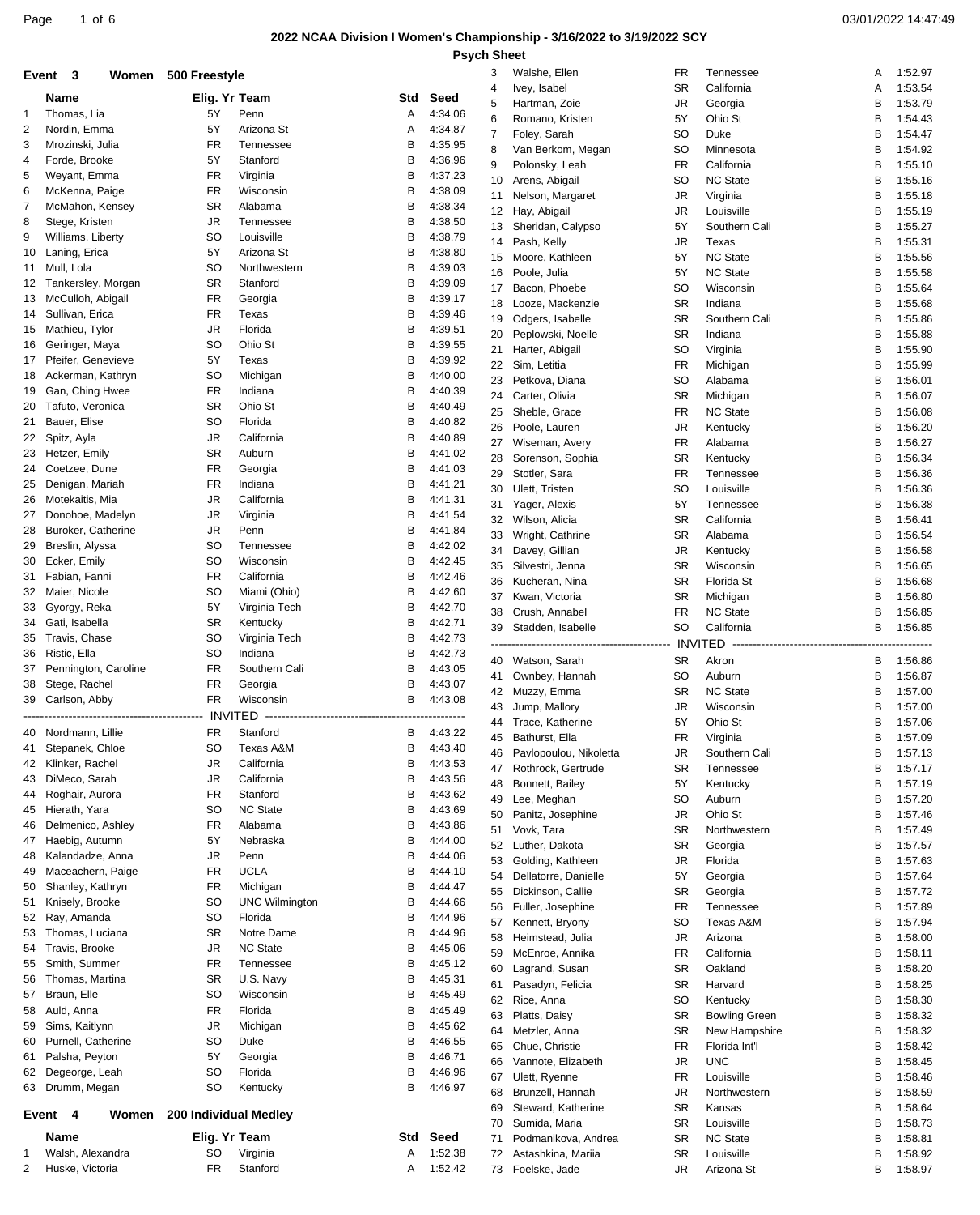|          | Event 3                          | Women 500 Freestyle    |                               |        |                    | 3                   | Walshe, Ellen                                | FR                     | Tennessee                 | Α      | 1:52.97            |
|----------|----------------------------------|------------------------|-------------------------------|--------|--------------------|---------------------|----------------------------------------------|------------------------|---------------------------|--------|--------------------|
|          | Name                             | Elig. Yr Team          |                               | Std    | Seed               | $\overline{4}$      | Ivey, Isabel                                 | <b>SR</b>              | California                | Α      | 1:53.54            |
|          | Thomas, Lia                      | 5Y                     | Penn                          | Α      | 4:34.06            | 5                   | Hartman, Zoie                                | <b>JR</b>              | Georgia                   | B      | 1:53.79            |
| 2        | Nordin, Emma                     | 5Y                     | Arizona St                    | Α      | 4:34.87            | 6<br>$\overline{7}$ | Romano, Kristen<br>Foley, Sarah              | 5Y<br>SO               | Ohio St<br>Duke           | в<br>В | 1:54.43<br>1:54.47 |
| 3        | Mrozinski, Julia                 | <b>FR</b>              | Tennessee                     | в      | 4:35.95            | 8                   | Van Berkom, Megan                            | <b>SO</b>              | Minnesota                 | В      | 1:54.92            |
| 4        | Forde, Brooke                    | 5Y                     | Stanford                      | В      | 4:36.96            | 9                   | Polonsky, Leah                               | <b>FR</b>              | California                | В      | 1:55.10            |
| 5        | Weyant, Emma                     | FR                     | Virginia                      | в      | 4:37.23            | 10                  | Arens, Abigail                               | <b>SO</b>              | <b>NC State</b>           | В      | 1:55.16            |
| 6        | McKenna, Paige                   | FR                     | Wisconsin                     | в      | 4:38.09            | 11                  | Nelson, Margaret                             | <b>JR</b>              | Virginia                  | В      | 1:55.18            |
| 7        | McMahon, Kensey                  | <b>SR</b>              | Alabama                       | В      | 4:38.34            | 12                  | Hay, Abigail                                 | JR                     | Louisville                | В      | 1:55.19            |
| 8        | Stege, Kristen                   | JR                     | Tennessee                     | В      | 4:38.50            | 13                  | Sheridan, Calypso                            | 5Y                     | Southern Cali             | В      | 1:55.27            |
| 9        | Williams, Liberty                | <b>SO</b>              | Louisville                    | в      | 4:38.79            | 14                  | Pash, Kelly                                  | JR                     | Texas                     | В      | 1:55.31            |
| 10       | Laning, Erica                    | 5Y                     | Arizona St<br>Northwestern    | В      | 4:38.80            | 15                  | Moore, Kathleen                              | 5Y                     | <b>NC State</b>           | В      | 1:55.56            |
| 11<br>12 | Mull, Lola<br>Tankersley, Morgan | <b>SO</b><br><b>SR</b> | Stanford                      | В<br>в | 4:39.03<br>4:39.09 | 16                  | Poole, Julia                                 | 5Y                     | <b>NC State</b>           | В      | 1:55.58            |
| 13       | McCulloh, Abigail                | <b>FR</b>              | Georgia                       | В      | 4:39.17            | 17                  | Bacon, Phoebe                                | <b>SO</b>              | Wisconsin                 | В      | 1:55.64            |
| 14       | Sullivan, Erica                  | FR                     | Texas                         | В      | 4:39.46            | 18                  | Looze, Mackenzie                             | <b>SR</b>              | Indiana                   | В      | 1:55.68            |
| 15       | Mathieu, Tylor                   | JR                     | Florida                       | В      | 4:39.51            | 19                  | Odgers, Isabelle                             | <b>SR</b>              | Southern Cali             | В      | 1:55.86            |
| 16       | Geringer, Maya                   | <b>SO</b>              | Ohio St                       | B      | 4:39.55            | 20<br>21            | Peplowski, Noelle<br>Harter, Abigail         | <b>SR</b><br><b>SO</b> | Indiana<br>Virginia       | В<br>В | 1:55.88<br>1:55.90 |
| 17       | Pfeifer, Genevieve               | 5Y                     | Texas                         | в      | 4:39.92            | 22                  | Sim, Letitia                                 | <b>FR</b>              | Michigan                  | В      | 1:55.99            |
| 18       | Ackerman, Kathryn                | <b>SO</b>              | Michigan                      | В      | 4:40.00            | 23                  | Petkova, Diana                               | <b>SO</b>              | Alabama                   | В      | 1:56.01            |
| 19       | Gan, Ching Hwee                  | FR                     | Indiana                       | B      | 4:40.39            | 24                  | Carter, Olivia                               | SR                     | Michigan                  | B      | 1:56.07            |
| 20       | Tafuto, Veronica                 | <b>SR</b>              | Ohio St                       | в      | 4:40.49            | 25                  | Sheble, Grace                                | <b>FR</b>              | <b>NC State</b>           | В      | 1:56.08            |
| 21       | Bauer, Elise                     | SO                     | Florida                       | В      | 4:40.82            | 26                  | Poole, Lauren                                | JR                     | Kentucky                  | В      | 1:56.20            |
| 22       | Spitz, Ayla                      | <b>JR</b>              | California                    | В      | 4:40.89            | 27                  | Wiseman, Avery                               | FR                     | Alabama                   | В      | 1:56.27            |
| 23       | Hetzer, Emily                    | <b>SR</b>              | Auburn                        | в      | 4:41.02            | 28                  | Sorenson, Sophia                             | <b>SR</b>              | Kentucky                  | в      | 1:56.34            |
| 24       | Coetzee, Dune                    | FR                     | Georgia                       | В      | 4:41.03            | 29                  | Stotler, Sara                                | <b>FR</b>              | Tennessee                 | В      | 1:56.36            |
| 25       | Denigan, Mariah                  | FR                     | Indiana                       | В      | 4:41.21            | 30                  | Ulett, Tristen                               | <b>SO</b>              | Louisville                | В      | 1:56.36            |
| 26       | Motekaitis, Mia                  | JR                     | California                    | в      | 4:41.31            | 31                  | Yager, Alexis                                | 5Y                     | Tennessee                 | В      | 1:56.38            |
| 27       | Donohoe, Madelyn                 | JR                     | Virginia                      | В      | 4:41.54            | 32                  | Wilson, Alicia                               | <b>SR</b>              | California                | В      | 1:56.41            |
| 28       | Buroker, Catherine               | JR                     | Penn                          | В      | 4:41.84            | 33                  | Wright, Cathrine                             | <b>SR</b>              | Alabama                   | В      | 1:56.54            |
| 29       | Breslin, Alyssa                  | <b>SO</b>              | Tennessee                     | в      | 4:42.02            | 34                  | Davey, Gillian                               | JR                     | Kentucky                  | в      | 1:56.58            |
| 30       | Ecker, Emily                     | <b>SO</b>              | Wisconsin                     | B      | 4:42.45            | 35                  | Silvestri, Jenna                             | <b>SR</b>              | Wisconsin                 | В      | 1:56.65            |
| 31       | Fabian, Fanni                    | <b>FR</b>              | California                    | В      | 4:42.46            | 36                  | Kucheran, Nina                               | <b>SR</b>              | Florida St                | В      | 1:56.68            |
| 32       | Maier, Nicole                    | <b>SO</b><br>5Y        | Miami (Ohio)<br>Virginia Tech | в<br>B | 4:42.60<br>4:42.70 | 37                  | Kwan, Victoria                               | SR                     | Michigan                  | В      | 1:56.80            |
| 33<br>34 | Gyorgy, Reka<br>Gati, Isabella   | <b>SR</b>              | Kentucky                      | В      | 4:42.71            | 38                  | Crush, Annabel                               | <b>FR</b>              | <b>NC State</b>           | В      | 1:56.85            |
| 35       | Travis, Chase                    | <b>SO</b>              | Virginia Tech                 | В      | 4:42.73            |                     | 39 Stadden, Isabelle                         | <b>SO</b>              | California                | B      | 1:56.85            |
| 36       | Ristic, Ella                     | <b>SO</b>              | Indiana                       | в      | 4:42.73            |                     |                                              |                        |                           |        |                    |
| 37       | Pennington, Caroline             | <b>FR</b>              | Southern Cali                 | в      | 4:43.05            |                     | 40 Watson, Sarah                             | <b>SR</b>              | Akron                     | в      | 1:56.86            |
| 38       | Stege, Rachel                    | FR                     | Georgia                       | В      | 4:43.07            | 41                  | Ownbey, Hannah                               | <b>SO</b>              | Auburn                    | В      | 1:56.87            |
| 39       | Carlson, Abby                    | FR                     | Wisconsin                     | B      | 4:43.08            | 42                  | Muzzy, Emma                                  | <b>SR</b>              | <b>NC State</b>           | В      | 1:57.00            |
|          |                                  |                        |                               |        |                    | 43                  | Jump, Mallory                                | <b>JR</b>              | Wisconsin                 | в      | 1:57.00            |
|          | 40 Nordmann, Lillie              | FR                     | Stanford                      | В      | 4:43.22            | 44                  | Trace, Katherine                             | 5Y<br><b>FR</b>        | Ohio St                   | В<br>B | 1:57.06            |
|          | 41 Stepanek, Chloe               | SO                     | Texas A&M                     | B.     | 4:43.40            |                     | 45 Bathurst, Ella                            | JR                     | Virginia<br>Southern Cali | в      | 1:57.09            |
| 42       | Klinker, Rachel                  | JR                     | California                    | B      | 4:43.53            | 47                  | Pavlopoulou, Nikoletta<br>Rothrock, Gertrude | <b>SR</b>              | Tennessee                 | B      | 1:57.13<br>1:57.17 |
| 43       | DiMeco, Sarah                    | JR                     | California                    | В      | 4:43.56            | 48                  | Bonnett, Bailey                              | 5Y                     | Kentucky                  | В      | 1:57.19            |
| 44       | Roghair, Aurora                  | FR                     | Stanford                      | В      | 4:43.62            | 49                  | Lee, Meghan                                  | SO                     | Auburn                    | в      | 1:57.20            |
| 45       | Hierath, Yara                    | <b>SO</b>              | <b>NC State</b>               | В      | 4:43.69            | 50                  | Panitz, Josephine                            | JR                     | Ohio St                   | В      | 1:57.46            |
| 46       | Delmenico, Ashley                | FR                     | Alabama                       | В      | 4:43.86            | 51                  | Vovk, Tara                                   | <b>SR</b>              | Northwestern              | В      | 1:57.49            |
| 47       | Haebig, Autumn                   | 5Υ                     | Nebraska                      | В      | 4:44.00            | 52                  | Luther, Dakota                               | SR                     | Georgia                   | В      | 1:57.57            |
| 48       | Kalandadze, Anna                 | JR                     | Penn                          | B      | 4:44.06            | 53                  | Golding, Kathleen                            | JR                     | Florida                   | В      | 1:57.63            |
| 49       | Maceachern, Paige                | <b>FR</b>              | <b>UCLA</b>                   | В      | 4:44.10            | 54                  | Dellatorre, Danielle                         | 5Y                     | Georgia                   | B      | 1:57.64            |
| 50       | Shanley, Kathryn                 | FR                     | Michigan                      | В      | 4:44.47            | 55                  | Dickinson, Callie                            | SR                     | Georgia                   | В      | 1:57.72            |
| 51       | Knisely, Brooke                  | <b>SO</b>              | <b>UNC Wilmington</b>         | В      | 4:44.66            | 56                  | Fuller, Josephine                            | FR                     | Tennessee                 | В      | 1:57.89            |
| 52       | Ray, Amanda                      | <b>SO</b>              | Florida                       | В      | 4:44.96            | 57                  | Kennett, Bryony                              | <b>SO</b>              | Texas A&M                 | В      | 1:57.94            |
| 53       | Thomas, Luciana                  | <b>SR</b>              | Notre Dame                    | В      | 4:44.96            | 58                  | Heimstead, Julia                             | JR                     | Arizona                   | В      | 1:58.00            |
| 54       | Travis, Brooke                   | JR<br><b>FR</b>        | <b>NC State</b><br>Tennessee  | В<br>В | 4:45.06            | 59                  | McEnroe, Annika                              | FR                     | California                | В      | 1:58.11            |
| 55<br>56 | Smith, Summer<br>Thomas, Martina | <b>SR</b>              | U.S. Navy                     | В      | 4:45.12<br>4:45.31 | 60                  | Lagrand, Susan                               | <b>SR</b>              | Oakland                   | В      | 1:58.20            |
| 57       | Braun, Elle                      | <b>SO</b>              | Wisconsin                     | В      | 4:45.49            | 61                  | Pasadyn, Felicia                             | <b>SR</b>              | Harvard                   | В      | 1:58.25            |
| 58       | Auld, Anna                       | FR                     | Florida                       | в      | 4:45.49            | 62                  | Rice, Anna                                   | <b>SO</b>              | Kentucky                  | В      | 1:58.30            |
| 59       | Sims, Kaitlynn                   | JR                     | Michigan                      | В      | 4:45.62            | 63                  | Platts, Daisy                                | <b>SR</b>              | <b>Bowling Green</b>      | В      | 1:58.32            |
| 60       | Purnell, Catherine               | <b>SO</b>              | Duke                          | В      | 4:46.55            | 64                  | Metzler, Anna                                | <b>SR</b>              | New Hampshire             | В      | 1:58.32            |
| 61       | Palsha, Peyton                   | 5Υ                     | Georgia                       | В      | 4:46.71            | 65                  | Chue, Christie                               | <b>FR</b>              | Florida Int'l             | В      | 1:58.42            |
| 62       | Degeorge, Leah                   | <b>SO</b>              | Florida                       | В      | 4:46.96            | 66                  | Vannote, Elizabeth                           | JR                     | <b>UNC</b>                | В      | 1:58.45            |
| 63       | Drumm, Megan                     | <b>SO</b>              | Kentucky                      | В      | 4:46.97            | 67                  | Ulett, Ryenne                                | FR                     | Louisville                | В      | 1:58.46            |
|          |                                  |                        |                               |        |                    | 68<br>69            | Brunzell, Hannah<br>Steward, Katherine       | JR<br>SR               | Northwestern<br>Kansas    | В<br>В | 1:58.59<br>1:58.64 |
|          | Event 4<br>Women                 | 200 Individual Medley  |                               |        |                    | 70                  | Sumida, Maria                                | <b>SR</b>              | Louisville                | В      | 1:58.73            |
|          | Name                             | Elig. Yr Team          |                               | Std    | Seed               | 71                  | Podmanikova, Andrea                          | <b>SR</b>              | <b>NC State</b>           | В      | 1:58.81            |
| 1        | Walsh, Alexandra                 | SO                     | Virginia                      | Α      | 1:52.38            | 72                  | Astashkina, Mariia                           | <b>SR</b>              | Louisville                | B      | 1:58.92            |
| 2        | Huske, Victoria                  | <b>FR</b>              | Stanford                      | Α      | 1:52.42            |                     | 73 Foelske, Jade                             | JR                     | Arizona St                | B      | 1:58.97            |
|          |                                  |                        |                               |        |                    |                     |                                              |                        |                           |        |                    |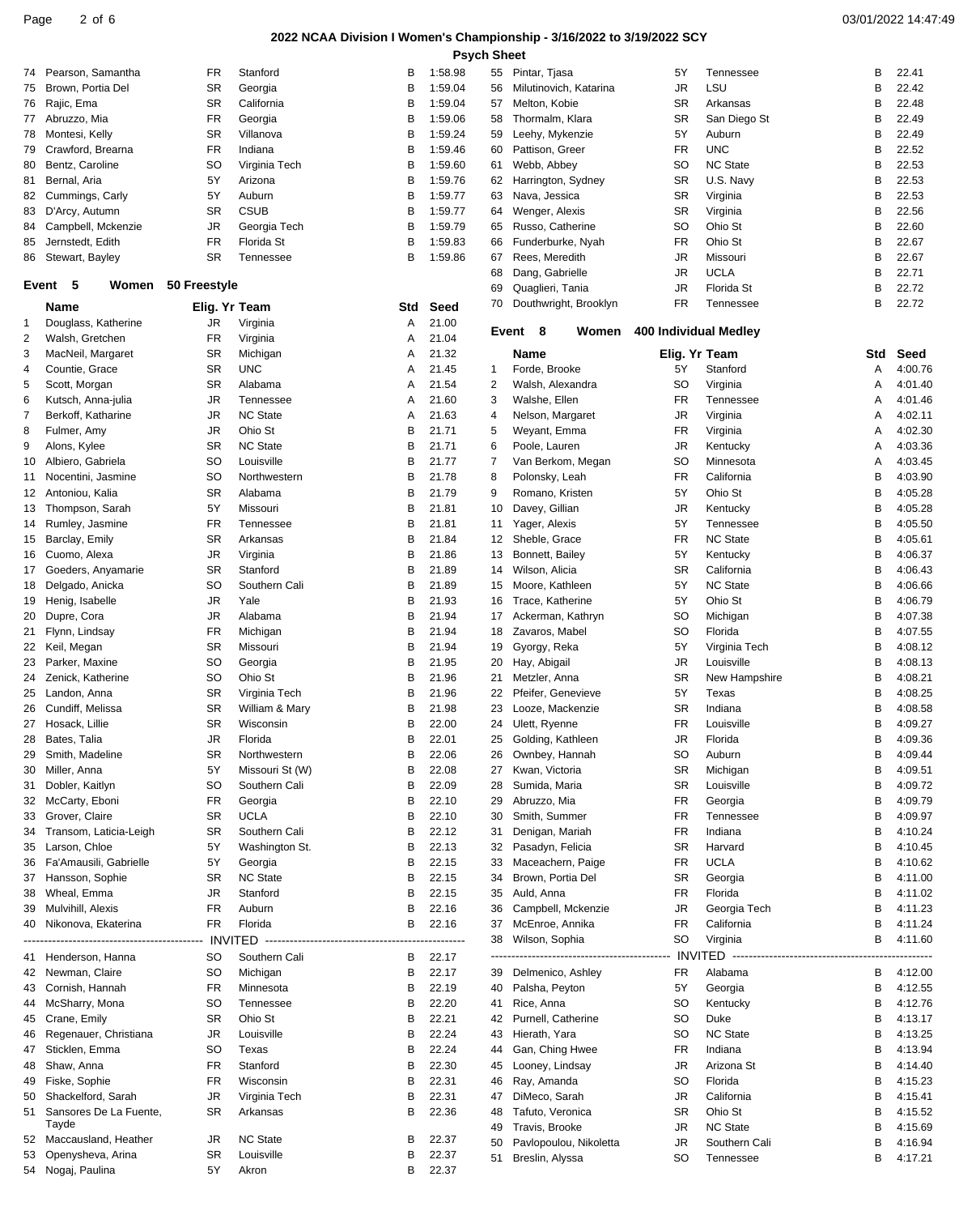|                |                         |               |                 |                                      |         | <b>Psych Sheet</b> |                        |                       |                 |                                  |         |
|----------------|-------------------------|---------------|-----------------|--------------------------------------|---------|--------------------|------------------------|-----------------------|-----------------|----------------------------------|---------|
| 74             | Pearson, Samantha       | FR            | Stanford        | В                                    | 1:58.98 |                    | 55 Pintar, Tjasa       | 5Υ                    | Tennessee       | в                                | 22.41   |
| 75             | Brown, Portia Del       | <b>SR</b>     | Georgia         | B                                    | 1:59.04 | 56                 | Milutinovich, Katarina | <b>JR</b>             | LSU             | В                                | 22.42   |
| 76             | Rajic, Ema              | <b>SR</b>     | California      | В                                    | 1:59.04 | 57                 | Melton, Kobie          | <b>SR</b>             | Arkansas        | В                                | 22.48   |
|                | 77 Abruzzo, Mia         | FR            | Georgia         | В                                    | 1:59.06 | 58                 | Thormalm, Klara        | <b>SR</b>             | San Diego St    | В                                | 22.49   |
|                |                         | <b>SR</b>     |                 |                                      |         |                    |                        |                       |                 | в                                |         |
| 78             | Montesi, Kelly          |               | Villanova       | В                                    | 1:59.24 | 59                 | Leehy, Mykenzie        | 5Y                    | Auburn          |                                  | 22.49   |
| 79             | Crawford, Brearna       | <b>FR</b>     | Indiana         | В                                    | 1:59.46 | 60                 | Pattison, Greer        | <b>FR</b>             | <b>UNC</b>      | В                                | 22.52   |
| 80             | Bentz, Caroline         | SO            | Virginia Tech   | В                                    | 1:59.60 | 61                 | Webb, Abbey            | <b>SO</b>             | <b>NC State</b> | В                                | 22.53   |
| 81             | Bernal, Aria            | 5Y            | Arizona         | B                                    | 1:59.76 | 62                 | Harrington, Sydney     | <b>SR</b>             | U.S. Navy       | В                                | 22.53   |
| 82             | Cummings, Carly         | 5Y            | Auburn          | В                                    | 1:59.77 | 63                 | Nava, Jessica          | <b>SR</b>             | Virginia        | В                                | 22.53   |
| 83             | D'Arcy, Autumn          | <b>SR</b>     | <b>CSUB</b>     | В                                    | 1:59.77 | 64                 | Wenger, Alexis         | <b>SR</b>             | Virginia        | В                                | 22.56   |
| 84             | Campbell, Mckenzie      | JR            | Georgia Tech    | В                                    | 1:59.79 | 65                 | Russo, Catherine       | <b>SO</b>             | Ohio St         | В                                | 22.60   |
| 85             | Jernstedt, Edith        | <b>FR</b>     | Florida St      | B                                    | 1:59.83 | 66                 | Funderburke, Nyah      | FR                    | Ohio St         | B                                | 22.67   |
| 86             | Stewart, Bayley         | <b>SR</b>     | Tennessee       | В                                    | 1:59.86 | 67                 | Rees, Meredith         | JR                    | Missouri        | В                                | 22.67   |
|                |                         |               |                 |                                      |         | 68                 | Dang, Gabrielle        | JR                    | <b>UCLA</b>     | В                                | 22.71   |
|                | -5<br>Event<br>Women    | 50 Freestyle  |                 |                                      |         | 69                 | Quaglieri, Tania       | <b>JR</b>             | Florida St      | B                                | 22.72   |
|                |                         |               |                 |                                      |         | 70                 | Douthwright, Brooklyn  | <b>FR</b>             | Tennessee       | В                                | 22.72   |
|                | Name                    | Elig. Yr Team |                 | Std                                  | Seed    |                    |                        |                       |                 |                                  |         |
| 1              | Douglass, Katherine     | JR            | Virginia        | Α                                    | 21.00   |                    | Event 8<br>Women       | 400 Individual Medley |                 |                                  |         |
| $\overline{c}$ | Walsh, Gretchen         | FR            | Virginia        | Α                                    | 21.04   |                    |                        |                       |                 |                                  |         |
| 3              | MacNeil, Margaret       | <b>SR</b>     | Michigan        | Α                                    | 21.32   |                    | <b>Name</b>            | Elig. Yr Team         |                 | Std                              | Seed    |
| 4              | Countie, Grace          | <b>SR</b>     | <b>UNC</b>      | Α                                    | 21.45   | $\mathbf{1}$       | Forde, Brooke          | 5Y                    | Stanford        | Α                                | 4:00.76 |
| 5              | Scott, Morgan           | <b>SR</b>     | Alabama         | Α                                    | 21.54   | 2                  | Walsh, Alexandra       | <b>SO</b>             | Virginia        | Α                                | 4:01.40 |
| 6              | Kutsch, Anna-julia      | JR            | Tennessee       | Α                                    | 21.60   | 3                  | Walshe, Ellen          | FR                    | Tennessee       | Α                                | 4:01.46 |
| 7              | Berkoff, Katharine      | JR            | <b>NC State</b> | Α                                    | 21.63   | 4                  | Nelson, Margaret       | JR                    | Virginia        | Α                                | 4:02.11 |
| 8              |                         | JR            | Ohio St         | В                                    |         |                    | Weyant, Emma           | FR                    |                 | Α                                | 4:02.30 |
|                | Fulmer, Amy             |               |                 |                                      | 21.71   | 5                  |                        |                       | Virginia        |                                  |         |
| 9              | Alons, Kylee            | <b>SR</b>     | <b>NC State</b> | В                                    | 21.71   | 6                  | Poole, Lauren          | JR                    | Kentucky        | Α                                | 4:03.36 |
| 10             | Albiero, Gabriela       | SO            | Louisville      | В                                    | 21.77   | 7                  | Van Berkom, Megan      | <b>SO</b>             | Minnesota       | Α                                | 4:03.45 |
| 11             | Nocentini, Jasmine      | SO            | Northwestern    | В                                    | 21.78   | 8                  | Polonsky, Leah         | FR                    | California      | B                                | 4:03.90 |
| 12             | Antoniou, Kalia         | <b>SR</b>     | Alabama         | В                                    | 21.79   | 9                  | Romano, Kristen        | 5Y                    | Ohio St         | в                                | 4:05.28 |
| 13             | Thompson, Sarah         | 5Y            | Missouri        | В                                    | 21.81   | 10                 | Davey, Gillian         | JR                    | Kentucky        | В                                | 4:05.28 |
| 14             | Rumley, Jasmine         | FR            | Tennessee       | В                                    | 21.81   | 11                 | Yager, Alexis          | 5Y                    | Tennessee       | В                                | 4:05.50 |
| 15             | Barclay, Emily          | <b>SR</b>     | Arkansas        | В                                    | 21.84   | 12                 | Sheble, Grace          | FR                    | <b>NC State</b> | В                                | 4:05.61 |
| 16             | Cuomo, Alexa            | JR            | Virginia        | В                                    | 21.86   | 13                 | Bonnett, Bailey        | 5Y                    | Kentucky        | В                                | 4:06.37 |
|                |                         |               |                 |                                      |         |                    |                        |                       |                 |                                  |         |
| 17             | Goeders, Anyamarie      | <b>SR</b>     | Stanford        | В                                    | 21.89   | 14                 | Wilson, Alicia         | <b>SR</b>             | California      | В                                | 4:06.43 |
| 18             | Delgado, Anicka         | <b>SO</b>     | Southern Cali   | В                                    | 21.89   | 15                 | Moore, Kathleen        | 5Y                    | <b>NC State</b> | в                                | 4:06.66 |
| 19             | Henig, Isabelle         | JR            | Yale            | В                                    | 21.93   | 16                 | Trace, Katherine       | 5Y                    | Ohio St         | В                                | 4:06.79 |
| 20             | Dupre, Cora             | <b>JR</b>     | Alabama         | В                                    | 21.94   | 17                 | Ackerman, Kathryn      | <b>SO</b>             | Michigan        | В                                | 4:07.38 |
| 21             | Flynn, Lindsay          | <b>FR</b>     | Michigan        | В                                    | 21.94   | 18                 | Zavaros, Mabel         | <sub>SO</sub>         | Florida         | В                                | 4:07.55 |
| 22             | Keil, Megan             | <b>SR</b>     | Missouri        | В                                    | 21.94   | 19                 | Gyorgy, Reka           | 5Y                    | Virginia Tech   | В                                | 4:08.12 |
| 23             | Parker, Maxine          | SO            | Georgia         | В                                    | 21.95   | 20                 | Hay, Abigail           | <b>JR</b>             | Louisville      | В                                | 4:08.13 |
| 24             | Zenick, Katherine       | SO            | Ohio St         | в                                    | 21.96   | 21                 | Metzler, Anna          | <b>SR</b>             | New Hampshire   | в                                | 4:08.21 |
|                |                         |               |                 |                                      |         |                    |                        |                       |                 |                                  |         |
| 25             | Landon, Anna            | <b>SR</b>     | Virginia Tech   | В                                    | 21.96   | 22                 | Pfeifer, Genevieve     | 5Y                    | Texas           | В                                | 4:08.25 |
| 26             | Cundiff, Melissa        | <b>SR</b>     | William & Mary  | В                                    | 21.98   | 23                 | Looze, Mackenzie       | <b>SR</b>             | Indiana         | В                                | 4:08.58 |
|                | 27 Hosack, Lillie       | <b>SR</b>     | Wisconsin       | В                                    | 22.00   |                    | 24 Ulett, Ryenne       | FR                    | Louisville      | В                                | 4:09.27 |
|                | 28 Bates, Talia         | <b>JR</b>     | Florida         | B                                    | 22.01   |                    | 25 Golding, Kathleen   | JR                    | Florida         |                                  | 4:09.36 |
| 29             | Smith, Madeline         | <b>SR</b>     | Northwestern    | B                                    | 22.06   | 26                 | Ownbey, Hannah         | <sub>SO</sub>         | Auburn          | B                                | 4:09.44 |
| 30             | Miller, Anna            | 5Y            | Missouri St (W) | В                                    | 22.08   | 27                 | Kwan, Victoria         | <b>SR</b>             | Michigan        | В                                | 4:09.51 |
| 31             | Dobler, Kaitlyn         | <b>SO</b>     | Southern Cali   | B                                    | 22.09   | 28                 | Sumida, Maria          | <b>SR</b>             | Louisville      | В                                | 4:09.72 |
| 32             | McCarty, Eboni          | <b>FR</b>     | Georgia         | B                                    | 22.10   | 29                 | Abruzzo, Mia           | <b>FR</b>             | Georgia         | В                                | 4:09.79 |
|                | Grover, Claire          | <b>SR</b>     | <b>UCLA</b>     | В                                    | 22.10   | 30                 | Smith, Summer          | FR                    |                 | В                                | 4:09.97 |
| 33             | Transom, Laticia-Leigh  | <b>SR</b>     | Southern Cali   | B                                    | 22.12   | 31                 | Denigan, Mariah        | <b>FR</b>             | Tennessee       | В                                | 4:10.24 |
| 34             |                         |               |                 |                                      |         |                    |                        |                       | Indiana         |                                  |         |
| 35             | Larson, Chloe           | 5Y            | Washington St.  | B                                    | 22.13   | 32                 | Pasadyn, Felicia       | <b>SR</b>             | Harvard         | В                                | 4:10.45 |
| 36             | Fa'Amausili, Gabrielle  | 5Y            | Georgia         | В                                    | 22.15   | 33                 | Maceachern, Paige      | FR                    | <b>UCLA</b>     | В                                | 4:10.62 |
| 37             | Hansson, Sophie         | <b>SR</b>     | <b>NC State</b> | B                                    | 22.15   | 34                 | Brown, Portia Del      | <b>SR</b>             | Georgia         | В                                | 4:11.00 |
| 38             | Wheal, Emma             | JR            | Stanford        | B                                    | 22.15   | 35                 | Auld, Anna             | FR                    | Florida         | В                                | 4:11.02 |
| 39             | Mulvihill, Alexis       | <b>FR</b>     | Auburn          | В                                    | 22.16   | 36                 | Campbell, Mckenzie     | <b>JR</b>             | Georgia Tech    | В                                | 4:11.23 |
| 40             | Nikonova, Ekaterina     | FR            | Florida         | B                                    | 22.16   | 37                 | McEnroe, Annika        | FR                    | California      | В                                | 4:11.24 |
|                |                         |               |                 | ------------------------------------ |         | 38                 | Wilson, Sophia         | <b>SO</b>             | Virginia        | в                                | 4:11.60 |
|                |                         |               |                 |                                      |         | -----              |                        |                       | INVITED         | -------------------------------- | ------- |
|                | 41 Henderson, Hanna     | SO            | Southern Cali   | В                                    | 22.17   |                    |                        |                       |                 |                                  |         |
|                | 42 Newman, Claire       | <b>SO</b>     | Michigan        | В                                    | 22.17   | 39                 | Delmenico, Ashley      | FR                    | Alabama         | В                                | 4:12.00 |
| 43             | Cornish, Hannah         | FR            | Minnesota       | В                                    | 22.19   | 40                 | Palsha, Peyton         | 5Y                    | Georgia         | В                                | 4:12.55 |
| 44             | McSharry, Mona          | <b>SO</b>     | Tennessee       | В                                    | 22.20   | 41                 | Rice, Anna             | SO                    | Kentucky        | В                                | 4:12.76 |
| 45             | Crane, Emily            | <b>SR</b>     | Ohio St         | В                                    | 22.21   | 42                 | Purnell, Catherine     | SO                    | Duke            | В                                | 4:13.17 |
| 46             | Regenauer, Christiana   | JR            | Louisville      | B                                    | 22.24   | 43                 | Hierath, Yara          | SO                    | <b>NC State</b> | В                                | 4:13.25 |
| 47             | Sticklen, Emma          | <b>SO</b>     | Texas           | B                                    | 22.24   | 44                 | Gan, Ching Hwee        | <b>FR</b>             | Indiana         | B                                | 4:13.94 |
| 48             | Shaw, Anna              | <b>FR</b>     | Stanford        | В                                    | 22.30   | 45                 | Looney, Lindsay        | JR                    | Arizona St      | В                                | 4:14.40 |
|                |                         | FR            | Wisconsin       | B                                    | 22.31   |                    |                        | SO                    | Florida         | В                                | 4:15.23 |
| 49             | Fiske, Sophie           |               |                 |                                      |         | 46                 | Ray, Amanda            |                       |                 |                                  |         |
| 50             | Shackelford, Sarah      | JR            | Virginia Tech   | B                                    | 22.31   | 47                 | DiMeco, Sarah          | <b>JR</b>             | California      | В                                | 4:15.41 |
| 51             | Sansores De La Fuente,  | <b>SR</b>     | Arkansas        | B                                    | 22.36   | 48                 | Tafuto, Veronica       | <b>SR</b>             | Ohio St         | В                                | 4:15.52 |
|                | Tayde                   |               |                 |                                      |         | 49                 | Travis, Brooke         | <b>JR</b>             | <b>NC State</b> | В                                | 4:15.69 |
|                | 52 Maccausland, Heather | JR            | <b>NC State</b> | В                                    | 22.37   | 50                 | Pavlopoulou, Nikoletta | JR                    | Southern Cali   | В                                | 4:16.94 |
| 53             | Openysheva, Arina       | <b>SR</b>     | Louisville      | B                                    | 22.37   | 51                 | Breslin, Alyssa        | <b>SO</b>             | Tennessee       | В                                | 4:17.21 |
|                | 54 Nogaj, Paulina       | 5Y            | Akron           | в                                    | 22.37   |                    |                        |                       |                 |                                  |         |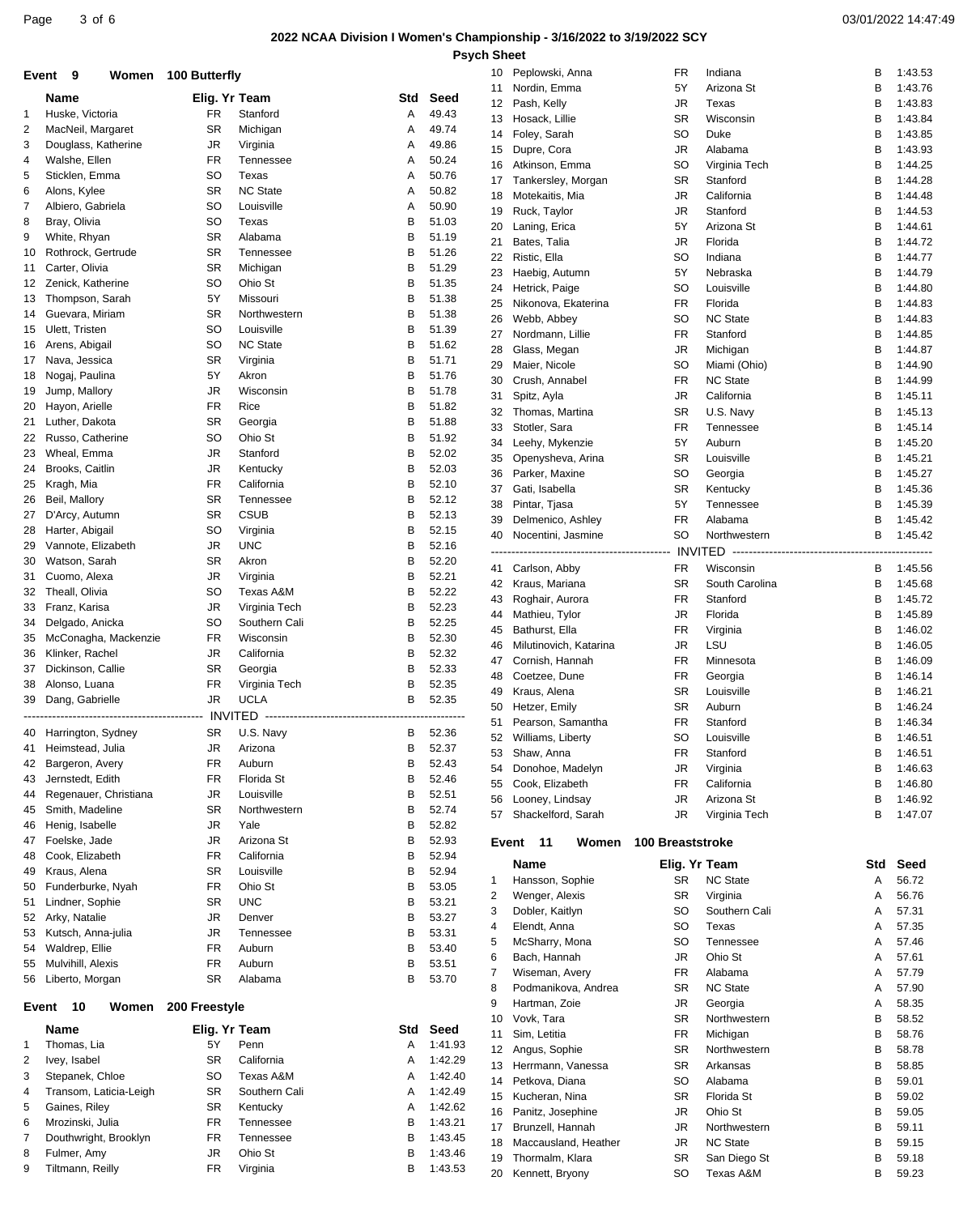## Page 3 of 6 03/01/2022 14:47:49

|          | Event 9                                 | Women 100 Butterfly    |                               |        |                    | 10                      | Peplowski, Anna                         | FR                     | Indiana                         | в      | 1:43.53            |
|----------|-----------------------------------------|------------------------|-------------------------------|--------|--------------------|-------------------------|-----------------------------------------|------------------------|---------------------------------|--------|--------------------|
|          | <b>Name</b>                             | Elig. Yr Team          |                               | Std    | Seed               | 11<br>12                | Nordin, Emma<br>Pash, Kelly             | 5Y<br>JR               | Arizona St<br>Texas             | B<br>в | 1:43.76<br>1:43.83 |
| 1        | Huske, Victoria                         | <b>FR</b>              | Stanford                      | A      | 49.43              | 13                      | Hosack, Lillie                          | <b>SR</b>              | Wisconsin                       | в      | 1:43.84            |
| 2        | MacNeil, Margaret                       | <b>SR</b>              | Michigan                      | Α      | 49.74              | 14                      | Foley, Sarah                            | <b>SO</b>              | Duke                            | В      | 1:43.85            |
| 3        | Douglass, Katherine                     | JR                     | Virginia                      | Α      | 49.86              | 15                      | Dupre, Cora                             | JR                     | Alabama                         | В      | 1:43.93            |
| 4        | Walshe, Ellen                           | FR                     | Tennessee                     | A      | 50.24              | 16                      | Atkinson, Emma                          | <b>SO</b>              | Virginia Tech                   | В      | 1:44.25            |
| 5        | Sticklen, Emma                          | <b>SO</b>              | Texas                         | A      | 50.76              | 17                      | Tankersley, Morgan                      | <b>SR</b>              | Stanford                        | В      | 1:44.28            |
| 6<br>7   | Alons, Kylee<br>Albiero, Gabriela       | <b>SR</b><br><b>SO</b> | <b>NC State</b><br>Louisville | A<br>A | 50.82<br>50.90     | 18                      | Motekaitis, Mia                         | JR                     | California                      | В      | 1:44.48            |
| 8        | Bray, Olivia                            | <b>SO</b>              | Texas                         | B      | 51.03              | 19                      | Ruck, Taylor                            | JR                     | Stanford                        | В      | 1:44.53            |
| 9        | White, Rhyan                            | <b>SR</b>              | Alabama                       | в      | 51.19              | 20                      | Laning, Erica                           | 5Υ                     | Arizona St                      | В      | 1:44.61            |
| 10       | Rothrock, Gertrude                      | <b>SR</b>              | Tennessee                     | В      | 51.26              | 21<br>22                | Bates, Talia<br>Ristic, Ella            | JR<br>SO               | Florida<br>Indiana              | в<br>В | 1:44.72<br>1:44.77 |
| 11       | Carter, Olivia                          | <b>SR</b>              | Michigan                      | в      | 51.29              | 23                      | Haebig, Autumn                          | 5Y                     | Nebraska                        | В      | 1:44.79            |
| 12       | Zenick, Katherine                       | SO                     | Ohio St                       | в      | 51.35              | 24                      | Hetrick, Paige                          | <b>SO</b>              | Louisville                      | в      | 1:44.80            |
| 13       | Thompson, Sarah                         | 5Y                     | Missouri                      | В      | 51.38              | 25                      | Nikonova, Ekaterina                     | <b>FR</b>              | Florida                         | В      | 1:44.83            |
| 14       | Guevara, Miriam                         | <b>SR</b>              | Northwestern                  | B      | 51.38              | 26                      | Webb, Abbey                             | <b>SO</b>              | <b>NC State</b>                 | в      | 1:44.83            |
| 15       | Ulett, Tristen                          | <b>SO</b>              | Louisville                    | B      | 51.39              | 27                      | Nordmann, Lillie                        | <b>FR</b>              | Stanford                        | в      | 1:44.85            |
| 16       | Arens, Abigail                          | <b>SO</b><br><b>SR</b> | <b>NC State</b>               | в<br>B | 51.62              | 28                      | Glass, Megan                            | JR                     | Michigan                        | В      | 1:44.87            |
| 17<br>18 | Nava, Jessica<br>Nogaj, Paulina         | 5Y                     | Virginia<br>Akron             | в      | 51.71<br>51.76     | 29                      | Maier, Nicole                           | <b>SO</b>              | Miami (Ohio)                    | в      | 1:44.90            |
| 19       | Jump, Mallory                           | <b>JR</b>              | Wisconsin                     | в      | 51.78              | 30                      | Crush, Annabel                          | <b>FR</b>              | <b>NC State</b>                 | В      | 1:44.99            |
| 20       | Hayon, Arielle                          | FR                     | Rice                          | в      | 51.82              | 31                      | Spitz, Ayla                             | <b>JR</b><br><b>SR</b> | California                      | В<br>В | 1:45.11            |
| 21       | Luther, Dakota                          | <b>SR</b>              | Georgia                       | B      | 51.88              | 32<br>33                | Thomas, Martina<br>Stotler, Sara        | <b>FR</b>              | U.S. Navy<br>Tennessee          | В      | 1:45.13<br>1:45.14 |
| 22       | Russo, Catherine                        | <b>SO</b>              | Ohio St                       | B      | 51.92              | 34                      | Leehy, Mykenzie                         | 5Y                     | Auburn                          | в      | 1:45.20            |
| 23       | Wheal, Emma                             | JR                     | Stanford                      | в      | 52.02              | 35                      | Openysheva, Arina                       | <b>SR</b>              | Louisville                      | в      | 1:45.21            |
| 24       | Brooks, Caitlin                         | JR                     | Kentucky                      | B      | 52.03              | 36                      | Parker, Maxine                          | SO                     | Georgia                         | В      | 1:45.27            |
| 25       | Kragh, Mia                              | <b>FR</b>              | California                    | в      | 52.10              | 37                      | Gati, Isabella                          | <b>SR</b>              | Kentucky                        | в      | 1:45.36            |
| 26       | Beil, Mallory                           | <b>SR</b>              | Tennessee                     | в      | 52.12              | 38                      | Pintar, Tjasa                           | 5Y                     | Tennessee                       | в      | 1:45.39            |
| 27       | D'Arcy, Autumn<br>Harter, Abigail       | <b>SR</b><br><b>SO</b> | <b>CSUB</b><br>Virginia       | B<br>в | 52.13<br>52.15     | 39                      | Delmenico, Ashley                       | <b>FR</b>              | Alabama                         | в      | 1:45.42            |
| 28<br>29 | Vannote, Elizabeth                      | JR                     | <b>UNC</b>                    | в      | 52.16              | 40                      | Nocentini, Jasmine                      | <b>SO</b>              | Northwestern                    | В      | 1:45.42            |
| 30       | Watson, Sarah                           | <b>SR</b>              | Akron                         | в      | 52.20              |                         |                                         |                        | TED                             |        |                    |
| 31       | Cuomo, Alexa                            | JR                     | Virginia                      | в      | 52.21              | 41                      | Carlson, Abby                           | FR                     | Wisconsin                       | В      | 1:45.56            |
| 32       | Theall, Olivia                          | SO                     | Texas A&M                     | в      | 52.22              | 42                      | Kraus, Mariana                          | <b>SR</b>              | South Carolina                  | В      | 1:45.68            |
| 33       | Franz, Karisa                           | JR                     | Virginia Tech                 | В      | 52.23              | 43                      | Roghair, Aurora<br>Mathieu, Tylor       | <b>FR</b><br>JR        | Stanford<br>Florida             | В<br>В | 1:45.72<br>1:45.89 |
| 34       | Delgado, Anicka                         | <b>SO</b>              | Southern Cali                 | в      | 52.25              | 44<br>45                | Bathurst, Ella                          | FR                     | Virginia                        | В      | 1:46.02            |
| 35       | McConagha, Mackenzie                    | <b>FR</b>              | Wisconsin                     | B      | 52.30              | 46                      | Milutinovich, Katarina                  | JR                     | LSU                             | В      | 1:46.05            |
| 36       | Klinker, Rachel                         | JR                     | California                    | B      | 52.32              | 47                      | Cornish, Hannah                         | FR                     | Minnesota                       | В      | 1:46.09            |
| 37       | Dickinson, Callie                       | <b>SR</b>              | Georgia                       | в      | 52.33              | 48                      | Coetzee, Dune                           | <b>FR</b>              | Georgia                         | В      | 1:46.14            |
| 38       | Alonso, Luana                           | <b>FR</b><br><b>JR</b> | Virginia Tech<br><b>UCLA</b>  | B<br>в | 52.35<br>52.35     | 49                      | Kraus, Alena                            | <b>SR</b>              | Louisville                      | в      | 1:46.21            |
| 39       | Dang, Gabrielle                         |                        |                               |        |                    | 50                      | Hetzer, Emily                           | <b>SR</b>              | Auburn                          | В      | 1:46.24            |
| 40       | Harrington, Sydney                      | <b>SR</b>              | U.S. Navy                     | в      | 52.36              | 51                      | Pearson, Samantha                       | <b>FR</b>              | Stanford                        | В      | 1:46.34            |
|          | 41 Heimstead, Julia                     | <b>JR</b>              | Arizona                       | В      | 52.37              | 52                      | Williams, Liberty                       | <b>SO</b>              | Louisville                      | в      | 1:46.51            |
| 42       | Bargeron, Avery                         | FR                     | Auburn                        | В      | 52.43              |                         | 53 Shaw, Anna                           | <b>FR</b>              | Stanford                        | B      | 1:46.51            |
| 43       | Jernstedt, Edith                        | <b>FR</b>              | Florida St                    | B      | 52.46              | 54<br>55                | Donohoe, Madelyn<br>Cook, Elizabeth     | <b>JR</b><br><b>FR</b> | Virginia<br>California          | В<br>В | 1:46.63<br>1:46.80 |
| 44       | Regenauer, Christiana                   | JR                     | Louisville                    | В      | 52.51              | 56                      | Looney, Lindsay                         | JR                     | Arizona St                      | В      | 1:46.92            |
| 45       | Smith, Madeline                         | <b>SR</b>              | Northwestern                  | В      | 52.74              | 57                      | Shackelford, Sarah                      | JR                     | Virginia Tech                   | в      | 1:47.07            |
| 46       | Henig, Isabelle                         | JR                     | Yale                          | в      | 52.82              |                         |                                         |                        |                                 |        |                    |
| 47       | Foelske, Jade                           | JR                     | Arizona St                    | В      | 52.93              |                         | Event<br>11<br>Women                    | 100 Breaststroke       |                                 |        |                    |
| 48       | Cook, Elizabeth                         | <b>FR</b>              | California                    | B      | 52.94              |                         | Name                                    | Elig. Yr Team          |                                 | Std    | Seed               |
| 49<br>50 | Kraus, Alena                            | <b>SR</b>              | Louisville                    | В      | 52.94              |                         |                                         | SR                     | <b>NC State</b>                 | Α      | 56.72              |
| 51       |                                         |                        |                               |        |                    | 1                       | Hansson, Sophie                         |                        |                                 | Α      |                    |
|          | Funderburke, Nyah                       | <b>FR</b>              | Ohio St                       | В      | 53.05              | $\overline{\mathbf{c}}$ | Wenger, Alexis                          | <b>SR</b>              | Virginia                        |        | 56.76              |
|          | Lindner, Sophie                         | <b>SR</b>              | <b>UNC</b>                    | B      | 53.21              | 3                       | Dobler, Kaitlyn                         | <b>SO</b>              | Southern Cali                   | Α      | 57.31              |
| 52<br>53 | Arky, Natalie<br>Kutsch, Anna-julia     | JR<br>JR               | Denver<br>Tennessee           | В<br>В | 53.27<br>53.31     | 4                       | Elendt, Anna                            | SO                     | Texas                           | Α      | 57.35              |
| 54       | Waldrep, Ellie                          | <b>FR</b>              | Auburn                        | В      | 53.40              | 5                       | McSharry, Mona                          | SO                     | Tennessee                       | A      | 57.46              |
| 55       | Mulvihill, Alexis                       | FR                     | Auburn                        | В      | 53.51              | 6                       | Bach, Hannah                            | JR                     | Ohio St                         | Α      | 57.61              |
| 56       | Liberto, Morgan                         | <b>SR</b>              | Alabama                       | В      | 53.70              | 7                       | Wiseman, Avery                          | FR                     | Alabama                         | Α      | 57.79              |
|          |                                         |                        |                               |        |                    | 8<br>9                  | Podmanikova, Andrea<br>Hartman, Zoie    | SR<br>JR               | <b>NC State</b>                 | Α<br>Α | 57.90<br>58.35     |
|          | 10<br>Event<br>Women                    | 200 Freestyle          |                               |        |                    | 10                      | Vovk, Tara                              | <b>SR</b>              | Georgia<br>Northwestern         | В      | 58.52              |
|          | Name                                    | Elig. Yr Team          |                               | Std    | Seed               | 11                      | Sim, Letitia                            | <b>FR</b>              | Michigan                        | B      | 58.76              |
| 1        | Thomas, Lia                             | 5Υ                     | Penn                          | Α      | 1:41.93            | 12                      | Angus, Sophie                           | <b>SR</b>              | Northwestern                    | B      | 58.78              |
| 2        | Ivey, Isabel                            | <b>SR</b>              | California                    | Α      | 1:42.29            | 13                      | Herrmann, Vanessa                       | <b>SR</b>              | Arkansas                        | В      | 58.85              |
| 3        | Stepanek, Chloe                         | <b>SO</b>              | Texas A&M                     | A      | 1:42.40            | 14                      | Petkova, Diana                          | <b>SO</b>              | Alabama                         | B      | 59.01              |
| 4<br>5   | Transom, Laticia-Leigh<br>Gaines, Riley | <b>SR</b><br><b>SR</b> | Southern Cali<br>Kentucky     | A<br>Α | 1:42.49<br>1:42.62 | 15                      | Kucheran, Nina                          | <b>SR</b>              | Florida St                      | В      | 59.02              |
| 6        | Mrozinski, Julia                        | FR                     | Tennessee                     | B      | 1:43.21            | 16                      | Panitz, Josephine                       | JR                     | Ohio St                         | В      | 59.05              |
| 7        | Douthwright, Brooklyn                   | <b>FR</b>              | Tennessee                     | В      | 1:43.45            | 17                      | Brunzell, Hannah                        | JR                     | Northwestern                    | В      | 59.11              |
| 8<br>9   | Fulmer, Amy<br>Tiltmann, Reilly         | JR<br>FR               | Ohio St<br>Virginia           | B<br>В | 1:43.46<br>1:43.53 | 18<br>19                | Maccausland, Heather<br>Thormalm, Klara | JR<br><b>SR</b>        | <b>NC State</b><br>San Diego St | В<br>В | 59.15<br>59.18     |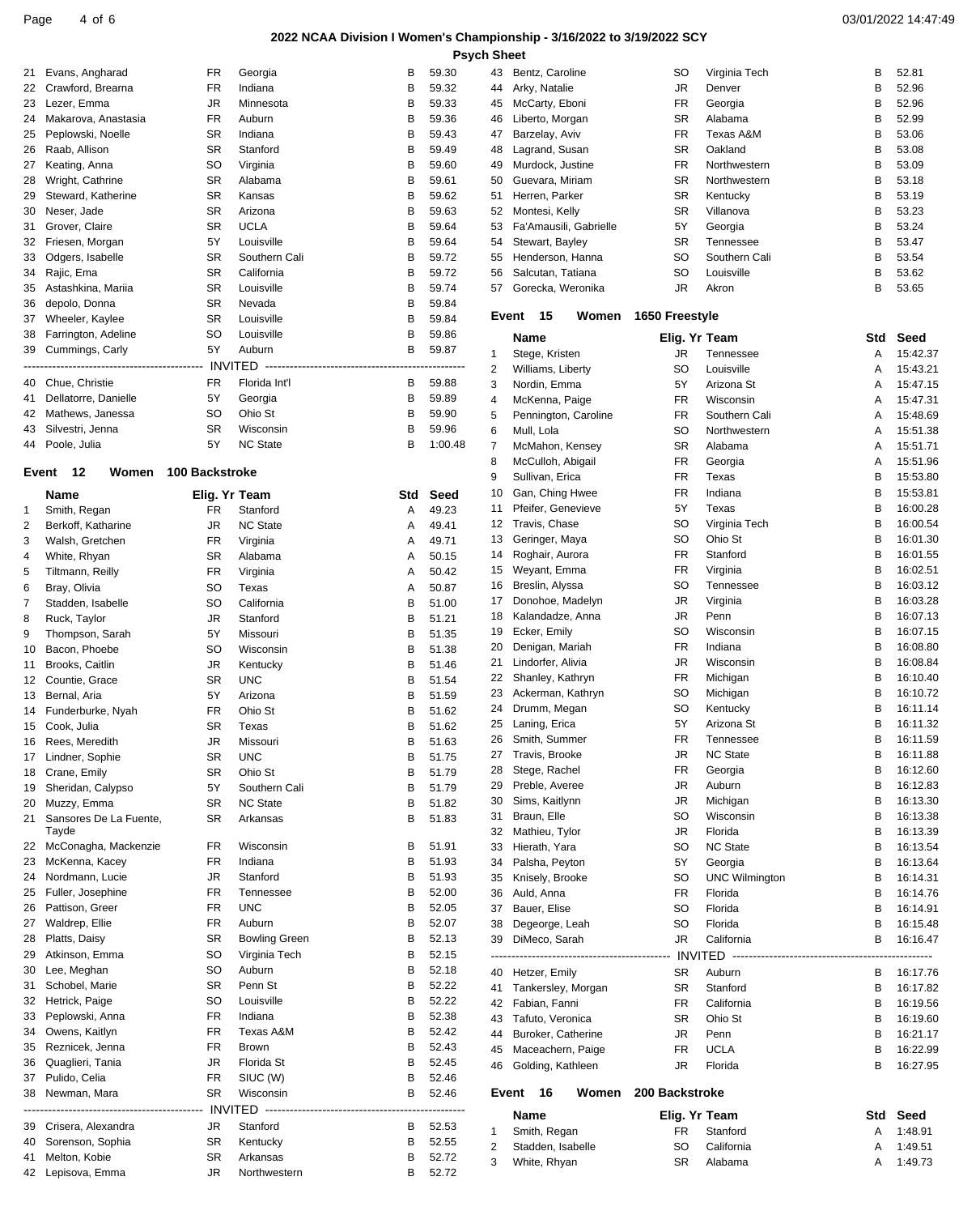| Psych She |  |
|-----------|--|
|-----------|--|

|       |                      |                |                 |   | гэуч    |  |  |
|-------|----------------------|----------------|-----------------|---|---------|--|--|
| 21    | Evans, Angharad      | FR.            | Georgia         | в | 59.30   |  |  |
| 22    | Crawford, Brearna    | <b>FR</b>      | Indiana         | B | 59.32   |  |  |
| 23    | Lezer, Emma          | <b>JR</b>      | Minnesota       | В | 59.33   |  |  |
| 24    | Makarova, Anastasia  | FR.            | Auburn          | B | 59.36   |  |  |
| 25    | Peplowski, Noelle    | <b>SR</b>      | Indiana         | В | 59.43   |  |  |
| 26    | Raab, Allison        | <b>SR</b>      | Stanford        | B | 59.49   |  |  |
| 27    | Keating, Anna        | SO             | Virginia        | B | 59.60   |  |  |
| 28    | Wright, Cathrine     | SR             | Alabama         | B | 59.61   |  |  |
| 29    | Steward, Katherine   | <b>SR</b>      | Kansas          | B | 59.62   |  |  |
| 30    | Neser, Jade          | <b>SR</b>      | Arizona         | B | 59.63   |  |  |
| 31    | Grover, Claire       | <b>SR</b>      | <b>UCLA</b>     | B | 59.64   |  |  |
| 32    | Friesen, Morgan      | 5Y             | Louisville      | в | 59.64   |  |  |
| 33    | Odgers, Isabelle     | <b>SR</b>      | Southern Cali   | B | 59.72   |  |  |
| 34    | Rajic, Ema           | <b>SR</b>      | California      | B | 59.72   |  |  |
| 35    | Astashkina, Mariia   | SR             | Louisville      | B | 59.74   |  |  |
| 36    | depolo, Donna        | <b>SR</b>      | Nevada          | B | 59.84   |  |  |
| 37    | Wheeler, Kaylee      | <b>SR</b>      | Louisville      | B | 59.84   |  |  |
| 38    | Farrington, Adeline  | SO.            | Louisville      | B | 59.86   |  |  |
| 39    | Cummings, Carly      | 5Y             | Auburn          | B | 59.87   |  |  |
|       |                      |                |                 |   |         |  |  |
| 40    | Chue, Christie       | <b>FR</b>      | Florida Int'l   | B | 59.88   |  |  |
| 41    | Dellatorre, Danielle | 5Y             | Georgia         | B | 59.89   |  |  |
| 42    | Mathews, Janessa     | SO.            | Ohio St         | B | 59.90   |  |  |
| 43    | Silvestri, Jenna     | <b>SR</b>      | Wisconsin       | В | 59.96   |  |  |
| 44    | Poole, Julia         | 5Y             | <b>NC State</b> | B | 1:00.48 |  |  |
| Event | 12<br>Women          | 100 Backstroke |                 |   |         |  |  |
|       | <b>Name</b>          |                | Elig. Yr Team   |   |         |  |  |

|    | name                            | Elig. Yr ieam |                           | δτα | seea  |
|----|---------------------------------|---------------|---------------------------|-----|-------|
| 1  | Smith, Regan                    | FR            | Stanford                  | Α   | 49.23 |
| 2  | Berkoff, Katharine              | JR            | <b>NC State</b>           | A   | 49.41 |
| 3  | Walsh, Gretchen                 | FR            | Virginia                  | A   | 49.71 |
| 4  | White, Rhyan                    | SR            | Alabama                   | A   | 50.15 |
| 5  | Tiltmann, Reilly                | FR            | Virginia                  | Α   | 50.42 |
| 6  | Bray, Olivia                    | SO            | Texas                     | Α   | 50.87 |
| 7  | Stadden, Isabelle               | SO            | California                | В   | 51.00 |
| 8  | Ruck, Taylor                    | JR            | Stanford                  | в   | 51.21 |
| 9  | Thompson, Sarah                 | 5Υ            | Missouri                  | в   | 51.35 |
| 10 | Bacon, Phoebe                   | SO            | Wisconsin                 | В   | 51.38 |
| 11 | Brooks, Caitlin                 | JR            | Kentucky                  | В   | 51.46 |
| 12 | Countie, Grace                  | SR            | <b>UNC</b>                | в   | 51.54 |
| 13 | Bernal, Aria                    | 5Y            | Arizona                   | в   | 51.59 |
| 14 | Funderburke, Nyah               | FR            | Ohio St                   | в   | 51.62 |
| 15 | Cook, Julia                     | SR            | Texas                     | в   | 51.62 |
| 16 | Rees, Meredith                  | JR            | Missouri                  | в   | 51.63 |
| 17 | Lindner, Sophie                 | SR            | <b>UNC</b>                | В   | 51.75 |
| 18 | Crane, Emily                    | SR            | Ohio St                   | в   | 51.79 |
| 19 | Sheridan, Calypso               | 5Υ            | Southern Cali             | в   | 51.79 |
| 20 | Muzzy, Emma                     | SR            | <b>NC State</b>           | В   | 51.82 |
| 21 | Sansores De La Fuente,<br>Tayde | SR            | Arkansas                  | В   | 51.83 |
| 22 | McConagha, Mackenzie            | FR            | Wisconsin                 | в   | 51.91 |
| 23 | McKenna, Kacey                  | <b>FR</b>     | Indiana                   | в   | 51.93 |
| 24 | Nordmann, Lucie                 | JR            | Stanford                  | в   | 51.93 |
| 25 | Fuller, Josephine               | FR.           | Tennessee                 | в   | 52.00 |
| 26 | Pattison, Greer                 | <b>FR</b>     | <b>UNC</b>                | в   | 52.05 |
| 27 | Waldrep, Ellie                  | FR            | Auburn                    | в   | 52.07 |
| 28 | Platts, Daisy                   | SR            | <b>Bowling Green</b>      | в   | 52.13 |
| 29 | Atkinson, Emma                  | SO            | Virginia Tech             | В   | 52.15 |
| 30 | Lee, Meghan                     | SO            | Auburn                    | в   | 52.18 |
| 31 | Schobel, Marie                  | SR            | Penn St                   | В   | 52.22 |
| 32 | Hetrick, Paige                  | SO            | Louisville                | В   | 52.22 |
| 33 | Peplowski, Anna                 | <b>FR</b>     | Indiana                   | в   | 52.38 |
| 34 | Owens, Kaitlyn                  | FR            | Texas A&M                 | в   | 52.42 |
| 35 | Reznicek, Jenna                 | <b>FR</b>     | Brown                     | в   | 52.43 |
| 36 | Quaglieri, Tania                | JR            | Florida St                | в   | 52.45 |
| 37 | Pulido, Celia                   | FR            | SIUC (W)                  | в   | 52.46 |
| 38 | Newman, Mara                    | SR            | Wisconsin                 | В   | 52.46 |
|    | .                               |               | <b>INVITED ----------</b> |     |       |
| 39 | Crisera, Alexandra              | JR            | Stanford                  | В   | 52.53 |
| 40 | Sorenson, Sophia                | SR            | Kentucky                  | в   | 52.55 |
| 41 | Melton, Kobie                   | SR            | Arkansas                  | В   | 52.72 |
| 42 | Lepisova, Emma                  | JR            | Northwestern              | В   | 52.72 |
|    |                                 |               |                           |     |       |

| 03/01/2022 14:47:49 |  |
|---------------------|--|
|---------------------|--|

| ו סווככו |                        |                |                       |     |          |
|----------|------------------------|----------------|-----------------------|-----|----------|
| 43       | Bentz, Caroline        | SO             | Virginia Tech         | в   | 52.81    |
| 44       | Arky, Natalie          | JR             | Denver                | в   | 52.96    |
| 45       | McCarty, Eboni         | FR             | Georgia               | В   | 52.96    |
| 46       | Liberto, Morgan        | SR             | Alabama               | В   | 52.99    |
| 47       | Barzelay, Aviv         | FR             | Texas A&M             | В   | 53.06    |
| 48       | Lagrand, Susan         | SR             | Oakland               | в   | 53.08    |
|          |                        |                |                       |     |          |
| 49       | Murdock, Justine       | FR.            | Northwestern          | В   | 53.09    |
| 50       | Guevara, Miriam        | SR             | Northwestern          | В   | 53.18    |
| 51       | Herren, Parker         | SR             | Kentucky              | в   | 53.19    |
| 52       | Montesi, Kelly         | SR             | Villanova             | В   | 53.23    |
| 53       | Fa'Amausili, Gabrielle | 5Υ             | Georgia               | В   | 53.24    |
| 54       | Stewart, Bayley        | SR             | Tennessee             | В   | 53.47    |
| 55       | Henderson, Hanna       | SO             | Southern Cali         | В   | 53.54    |
| 56       | Salcutan, Tatiana      | SO             | Louisville            | В   | 53.62    |
|          |                        |                |                       |     |          |
| 57       | Gorecka, Weronika      | JR             | Akron                 | в   | 53.65    |
|          |                        |                |                       |     |          |
| Event    | 15<br>Women            | 1650 Freestyle |                       |     |          |
|          | Name                   | Elig. Yr Team  |                       | Std | Seed     |
| 1        | Stege, Kristen         | JR             | Tennessee             | A   | 15:42.37 |
|          |                        |                |                       |     |          |
| 2        | Williams, Liberty      | SO             | Louisville            | A   | 15:43.21 |
| 3        | Nordin, Emma           | 5Υ             | Arizona St            | A   | 15:47.15 |
| 4        | McKenna, Paige         | FR.            | Wisconsin             | A   | 15:47.31 |
| 5        | Pennington, Caroline   | FR             | Southern Cali         | A   | 15:48.69 |
| 6        | Mull, Lola             | SO             | Northwestern          | Α   | 15:51.38 |
| 7        | McMahon, Kensey        | SR             | Alabama               | A   | 15:51.71 |
|          | McCulloh, Abigail      | FR             | Georgia               | A   |          |
| 8        |                        |                |                       |     | 15:51.96 |
| 9        | Sullivan, Erica        | FR             | Texas                 | В   | 15:53.80 |
| 10       | Gan, Ching Hwee        | FR             | Indiana               | в   | 15:53.81 |
| 11       | Pfeifer, Genevieve     | 5Y             | Texas                 | В   | 16:00.28 |
| 12       | Travis, Chase          | SO             | Virginia Tech         | В   | 16:00.54 |
| 13       | Geringer, Maya         | SO             | Ohio St               | в   | 16:01.30 |
| 14       | Roghair, Aurora        | FR             | Stanford              | В   | 16:01.55 |
| 15       | Weyant, Emma           | FR             | Virginia              | В   | 16:02.51 |
|          |                        |                |                       |     |          |
| 16       | Breslin, Alyssa        | SO             | <b>Tennessee</b>      | в   | 16:03.12 |
| 17       | Donohoe, Madelyn       | JR             | Virginia              | в   | 16:03.28 |
| 18       | Kalandadze, Anna       | JR             | Penn                  | в   | 16:07.13 |
| 19       | Ecker, Emily           | SO             | Wisconsin             | в   | 16:07.15 |
| 20       | Denigan, Mariah        | FR             | Indiana               | в   | 16:08.80 |
| 21       | Lindorfer, Alivia      | JR             | Wisconsin             | в   | 16:08.84 |
| 22       | Shanley, Kathryn       | FR             | Michigan              | В   | 16:10.40 |
|          |                        |                |                       |     |          |
| 23       | Ackerman, Kathryn      | SO             | Michigan              | В   | 16:10.72 |
| 24       | Drumm, Megan           | SO             | Kentucky              | в   | 16:11.14 |
| 25       | Laning, Erica          | 5Y             | Arizona St            | B   | 16:11.32 |
| 26       | Smith, Summer          | <b>FR</b>      | Tennessee             | В   | 16:11.59 |
| 27       | Travis, Brooke         | JR             | <b>NC State</b>       | в   | 16:11.88 |
| 28       | Stege, Rachel          | FR             | Georgia               | в   | 16:12.60 |
| 29       | Preble, Averee         | JR             | Auburn                | В   | 16:12.83 |
|          |                        |                |                       |     |          |
| 30       | Sims, Kaitlynn         | JR             | Michigan              | В   | 16:13.30 |
| 31       | Braun, Elle            | SO             | Wisconsin             | в   | 16:13.38 |
| 32       | Mathieu, Tylor         | JR             | Florida               | в   | 16:13.39 |
| 33       | Hierath, Yara          | SO             | <b>NC State</b>       | в   | 16:13.54 |
| 34       | Palsha, Peyton         | 5Υ             | Georgia               | в   | 16:13.64 |
| 35       | Knisely, Brooke        | SO             | <b>UNC Wilmington</b> | в   | 16:14.31 |
| 36       | Auld, Anna             | FR             | Florida               | в   | 16:14.76 |
| 37       | Bauer, Elise           | SO             | Florida               | в   | 16:14.91 |
|          |                        |                |                       |     |          |
| 38       | Degeorge, Leah         | SO             | Florida               | в   | 16:15.48 |
| 39       | DiMeco, Sarah          | JR             | California            | В   | 16:16.47 |
|          |                        |                |                       |     |          |
| 40       | Hetzer, Emily          | SR             | Auburn                | В   | 16:17.76 |
| 41       | Tankersley, Morgan     | SR             | Stanford              | в   | 16:17.82 |
| 42       | Fabian, Fanni          | FR             | California            | в   | 16:19.56 |
| 43       |                        | SR             | Ohio St               | в   |          |
|          | Tafuto, Veronica       |                |                       |     | 16:19.60 |
| 44       | Buroker, Catherine     | JR             | Penn                  | в   | 16:21.17 |
| 45       | Maceachern, Paige      | FR             | <b>UCLA</b>           | в   | 16:22.99 |
| 46       | Golding, Kathleen      | JR             | Florida               | в   | 16:27.95 |
|          |                        |                |                       |     |          |
| Event    | 16<br>Women            | 200 Backstroke |                       |     |          |
|          |                        |                |                       |     |          |
|          | Name                   | Elig. Yr Team  |                       | Std | Seed     |
| 1        | Smith, Regan           | FR             | Stanford              | Α   | 1:48.91  |
|          |                        |                |                       |     |          |
| 2        | Stadden, Isabelle      | SO             | California            | Α   | 1:49.51  |
| 3        | White, Rhyan           | SR             | Alabama               | A   | 1:49.73  |
|          |                        |                |                       |     |          |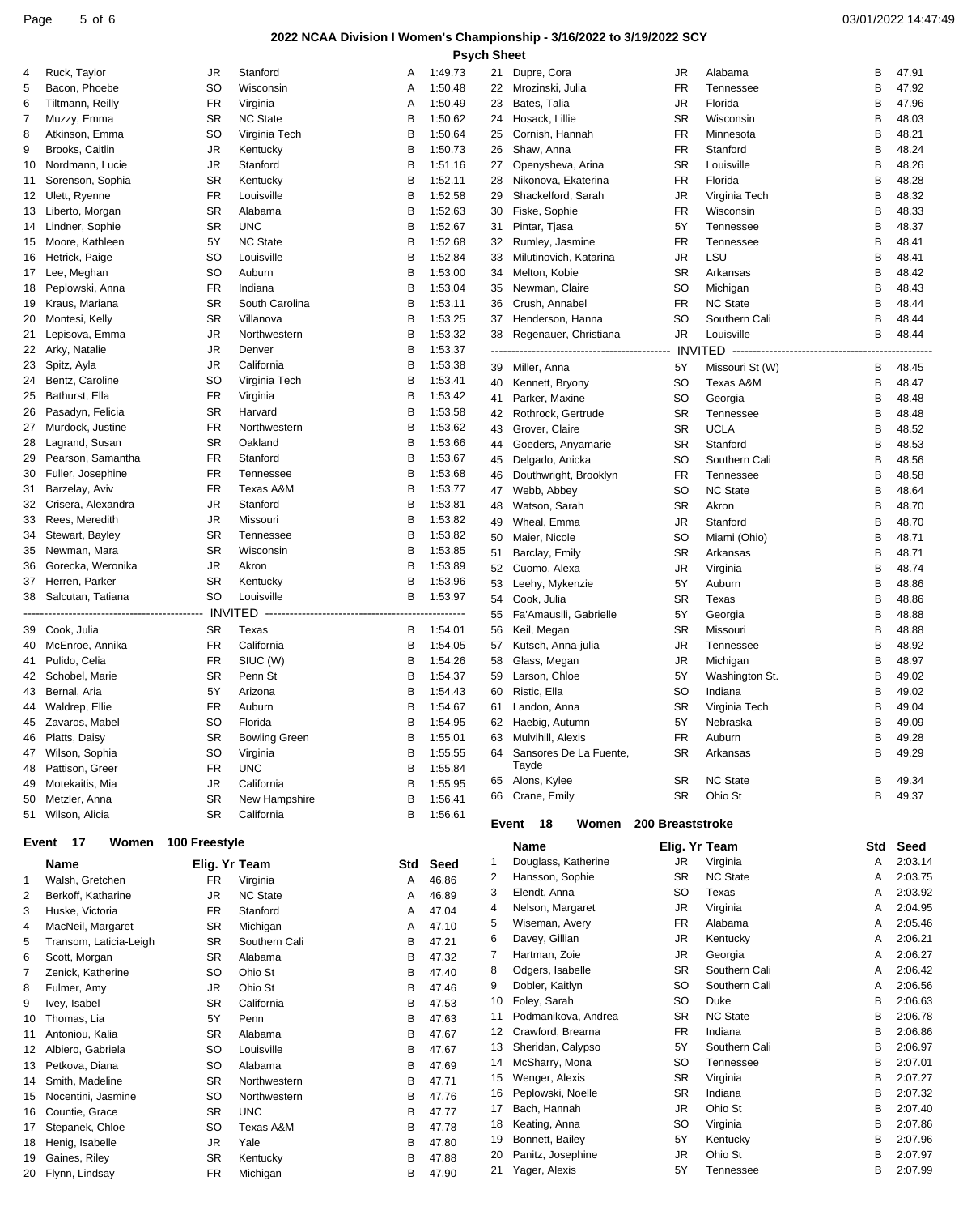### Page 5 of 6 03/01/2022 14:47:49

| 4  | Ruck, Taylor                       | JR            | Stanford             | Α   | 1:49.73        | 21 | Dupre, Cora            | JR               | Alabama                                  | В   | 47.91   |
|----|------------------------------------|---------------|----------------------|-----|----------------|----|------------------------|------------------|------------------------------------------|-----|---------|
| 5  | Bacon, Phoebe                      | <b>SO</b>     | Wisconsin            | A   | 1:50.48        | 22 | Mrozinski, Julia       | FR               | Tennessee                                | В   | 47.92   |
|    | Tiltmann, Reilly                   | FR            | Virginia             |     | 1:50.49        |    |                        | JR               | Florida                                  | В   | 47.96   |
| 6  |                                    |               |                      | Α   |                | 23 | Bates, Talia           |                  |                                          |     |         |
| 7  | Muzzy, Emma                        | SR            | <b>NC State</b>      | В   | 1:50.62        | 24 | Hosack, Lillie         | <b>SR</b>        | Wisconsin                                | В   | 48.03   |
| 8  | Atkinson, Emma                     | SO            | Virginia Tech        | в   | 1:50.64        | 25 | Cornish, Hannah        | <b>FR</b>        | Minnesota                                | В   | 48.21   |
| 9  | Brooks, Caitlin                    | JR            | Kentucky             | в   | 1:50.73        | 26 | Shaw, Anna             | FR               | Stanford                                 | В   | 48.24   |
| 10 | Nordmann, Lucie                    | JR            | Stanford             | в   | 1:51.16        | 27 | Openysheva, Arina      | <b>SR</b>        | Louisville                               | В   | 48.26   |
| 11 | Sorenson, Sophia                   | SR            | Kentucky             | в   | 1:52.11        | 28 | Nikonova, Ekaterina    | FR               | Florida                                  | в   | 48.28   |
| 12 | Ulett, Ryenne                      | FR            | Louisville           | в   | 1:52.58        | 29 | Shackelford, Sarah     | JR               | Virginia Tech                            | В   | 48.32   |
|    | 13 Liberto, Morgan                 | SR            | Alabama              | в   | 1:52.63        | 30 | Fiske, Sophie          | FR               | Wisconsin                                | B   | 48.33   |
| 14 | Lindner, Sophie                    | SR            | <b>UNC</b>           | В   | 1:52.67        | 31 | Pintar, Tjasa          | 5Y               | Tennessee                                | В   | 48.37   |
| 15 | Moore, Kathleen                    | 5Y            | <b>NC State</b>      | В   | 1:52.68        | 32 | Rumley, Jasmine        | FR               | Tennessee                                | В   | 48.41   |
| 16 | Hetrick, Paige                     | SO            | Louisville           | в   | 1:52.84        | 33 | Milutinovich, Katarina | <b>JR</b>        | LSU                                      | В   | 48.41   |
|    | 17 Lee, Meghan                     | SO            | Auburn               | в   | 1:53.00        | 34 | Melton, Kobie          | <b>SR</b>        | Arkansas                                 | В   | 48.42   |
| 18 | Peplowski, Anna                    | <b>FR</b>     | Indiana              | В   | 1:53.04        | 35 | Newman, Claire         | SO.              | Michigan                                 | В   | 48.43   |
|    |                                    | SR            |                      | В   |                |    |                        |                  | <b>NC State</b>                          | В   | 48.44   |
| 19 | Kraus, Mariana                     |               | South Carolina       |     | 1:53.11        | 36 | Crush, Annabel         | FR               |                                          |     |         |
| 20 | Montesi, Kelly                     | SR            | Villanova            | в   | 1:53.25        | 37 | Henderson, Hanna       | <b>SO</b>        | Southern Cali                            | B   | 48.44   |
| 21 | Lepisova, Emma                     | JR            | Northwestern         | B   | 1:53.32        | 38 | Regenauer, Christiana  | JR               | Louisville                               | B   | 48.44   |
| 22 | Arky, Natalie                      | JR            | Denver               | в   | 1:53.37        |    |                        |                  | INVITED -------------------------------- |     |         |
| 23 | Spitz, Ayla                        | JR            | California           | в   | 1:53.38        |    | 39 Miller, Anna        | 5Y               | Missouri St (W)                          | В   | 48.45   |
| 24 | Bentz, Caroline                    | SO            | Virginia Tech        | в   | 1:53.41        | 40 | Kennett, Bryony        | <b>SO</b>        | Texas A&M                                | в   | 48.47   |
| 25 | Bathurst, Ella                     | <b>FR</b>     | Virginia             | в   | 1:53.42        | 41 | Parker, Maxine         | SO.              | Georgia                                  | В   | 48.48   |
| 26 | Pasadyn, Felicia                   | SR            | Harvard              | в   | 1:53.58        | 42 | Rothrock, Gertrude     | <b>SR</b>        | Tennessee                                | B   | 48.48   |
| 27 | Murdock, Justine                   | <b>FR</b>     | Northwestern         | B   | 1:53.62        | 43 | Grover, Claire         | <b>SR</b>        | <b>UCLA</b>                              | В   | 48.52   |
| 28 | Lagrand, Susan                     | SR            | Oakland              | B   | 1:53.66        | 44 | Goeders, Anyamarie     | <b>SR</b>        | Stanford                                 | В   | 48.53   |
| 29 | Pearson, Samantha                  | FR            | Stanford             | в   | 1:53.67        | 45 | Delgado, Anicka        | <b>SO</b>        | Southern Cali                            | В   | 48.56   |
| 30 | Fuller, Josephine                  | FR            | Tennessee            | в   | 1:53.68        |    |                        | <b>FR</b>        |                                          | в   | 48.58   |
| 31 | Barzelay, Aviv                     | FR            | Texas A&M            | B   | 1:53.77        | 46 | Douthwright, Brooklyn  |                  | Tennessee                                |     |         |
|    |                                    |               |                      | в   |                | 47 | Webb, Abbey            | <b>SO</b>        | <b>NC State</b>                          | В   | 48.64   |
| 32 | Crisera, Alexandra                 | JR            | Stanford             |     | 1:53.81        | 48 | Watson, Sarah          | <b>SR</b>        | Akron                                    | В   | 48.70   |
| 33 | Rees, Meredith                     | JR            | Missouri             | в   | 1:53.82        | 49 | Wheal, Emma            | <b>JR</b>        | Stanford                                 | В   | 48.70   |
| 34 | Stewart, Bayley                    | SR            | Tennessee            | B   | 1:53.82        | 50 | Maier, Nicole          | <b>SO</b>        | Miami (Ohio)                             | В   | 48.71   |
| 35 | Newman, Mara                       | SR            | Wisconsin            | в   | 1:53.85        | 51 | Barclay, Emily         | <b>SR</b>        | Arkansas                                 | В   | 48.71   |
| 36 | Gorecka, Weronika                  | JR            | Akron                | в   | 1:53.89        | 52 | Cuomo, Alexa           | JR               | Virginia                                 | В   | 48.74   |
| 37 | Herren, Parker                     | <b>SR</b>     | Kentucky             | В   | 1:53.96        | 53 | Leehy, Mykenzie        | 5Y               | Auburn                                   | В   | 48.86   |
| 38 | Salcutan, Tatiana                  | SO            | Louisville           | В   | 1:53.97        | 54 | Cook, Julia            | <b>SR</b>        | Texas                                    | В   | 48.86   |
|    |                                    |               |                      |     |                | 55 | Fa'Amausili, Gabrielle | 5Y               | Georgia                                  | В   | 48.88   |
| 39 | Cook, Julia                        | SR            | Texas                | В   | 1:54.01        | 56 | Keil, Megan            | <b>SR</b>        | Missouri                                 | В   | 48.88   |
| 40 | McEnroe, Annika                    | <b>FR</b>     | California           | В   | 1:54.05        | 57 | Kutsch, Anna-julia     | JR               | Tennessee                                | В   | 48.92   |
| 41 | Pulido, Celia                      | FR            | SIUC (W)             | В   | 1:54.26        | 58 | Glass, Megan           | JR               | Michigan                                 | в   | 48.97   |
|    | Schobel, Marie                     |               |                      |     |                |    |                        |                  |                                          |     |         |
| 42 |                                    | SR            | Penn St              | В   | 1:54.37        | 59 | Larson, Chloe          | 5Y               | Washington St.                           | В   | 49.02   |
| 43 | Bernal, Aria                       | 5Y            | Arizona              | В   | 1:54.43        | 60 | Ristic, Ella           | <b>SO</b>        | Indiana                                  | В   | 49.02   |
| 44 | Waldrep, Ellie                     | FR            | Auburn               | в   | 1:54.67        | 61 | Landon, Anna           | <b>SR</b>        | Virginia Tech                            | в   | 49.04   |
| 45 | Zavaros, Mabel                     | SO            | Florida              | В   | 1:54.95        | 62 | Haebig, Autumn         | 5Y               | Nebraska                                 | В   | 49.09   |
|    | 46 Platts, Daisy                   | SR            | <b>Bowling Green</b> | В   | 1:55.01        |    | 63 Mulvihill, Alexis   | <b>FR</b>        | Auburn                                   | B   | 49.28   |
| 47 | Wilson, Sophia                     | SO            | Virginia             | в   | 1:55.55        | 64 | Sansores De La Fuente, | SR               | Arkansas                                 | В   | 49.29   |
| 48 | Pattison, Greer                    | <b>FR</b>     | <b>UNC</b>           | B   | 1:55.84        |    | Tayde                  |                  |                                          |     |         |
| 49 | Motekaitis, Mia                    | JR            | California           | в   | 1:55.95        |    | 65 Alons, Kylee        | <b>SR</b>        | <b>NC State</b>                          | в   | 49.34   |
| 50 | Metzler, Anna                      | SR            | New Hampshire        | в   | 1:56.41        | 66 | Crane, Emily           | <b>SR</b>        | Ohio St                                  | В   | 49.37   |
|    | 51 Wilson, Alicia                  | SR            | California           | В   | 1:56.61        |    |                        |                  |                                          |     |         |
|    |                                    |               |                      |     |                |    | 18<br>Women<br>Event   | 200 Breaststroke |                                          |     |         |
|    | - 17<br>Women<br>Event             | 100 Freestyle |                      |     |                |    | Name                   | Elig. Yr Team    |                                          | Std | Seed    |
|    |                                    |               |                      |     |                | 1  | Douglass, Katherine    | JR               | Virginia                                 | Α   | 2:03.14 |
|    | Name                               | Elig. Yr Team |                      | Std | Seed           |    |                        |                  | <b>NC State</b>                          |     |         |
| 1  | Walsh. Gretchen                    | FR            | Virginia             | Α   | 46.86          | 2  | Hansson, Sophie        | <b>SR</b>        |                                          | Α   | 2:03.75 |
| 2  | Berkoff, Katharine                 | JR            | <b>NC State</b>      | Α   | 46.89          | 3  | Elendt, Anna           | <b>SO</b>        | Texas                                    | Α   | 2:03.92 |
| 3  | Huske, Victoria                    | FR            | Stanford             | Α   | 47.04          | 4  | Nelson, Margaret       | JR               | Virginia                                 | Α   | 2:04.95 |
| 4  | MacNeil, Margaret                  | SR            | Michigan             | Α   | 47.10          | 5  | Wiseman, Avery         | FR               | Alabama                                  | Α   | 2:05.46 |
| 5  | Transom, Laticia-Leigh             | SR            | Southern Cali        | в   | 47.21          | 6  | Davey, Gillian         | JR               | Kentucky                                 | Α   | 2:06.21 |
| 6  | Scott, Morgan                      | SR            | Alabama              | в   | 47.32          | 7  | Hartman, Zoie          | <b>JR</b>        | Georgia                                  | Α   | 2:06.27 |
| 7  | Zenick, Katherine                  | SO            | Ohio St              | В   | 47.40          | 8  | Odgers, Isabelle       | <b>SR</b>        | Southern Cali                            | Α   | 2:06.42 |
| 8  | Fulmer, Amy                        | JR            | Ohio St              | в   | 47.46          | 9  | Dobler, Kaitlyn        | SO               | Southern Cali                            | Α   | 2:06.56 |
|    |                                    |               | California           | в   | 47.53          | 10 | Foley, Sarah           | SO               | Duke                                     | в   | 2:06.63 |
| 9  | Ivey, Isabel                       | SR            |                      |     |                | 11 | Podmanikova, Andrea    | <b>SR</b>        | <b>NC State</b>                          | В   | 2:06.78 |
| 10 | Thomas, Lia                        | 5Y            | Penn                 | в   | 47.63          | 12 | Crawford, Brearna      | FR               | Indiana                                  | В   | 2:06.86 |
| 11 | Antoniou, Kalia                    | SR            | Alabama              | в   | 47.67          |    |                        |                  |                                          |     |         |
| 12 | Albiero, Gabriela                  | SO            | Louisville           | в   | 47.67          | 13 | Sheridan, Calypso      | 5Y               | Southern Cali                            | В   | 2:06.97 |
| 13 | Petkova, Diana                     | SO            | Alabama              | в   | 47.69          | 14 | McSharry, Mona         | SO               | Tennessee                                | В   | 2:07.01 |
| 14 | Smith, Madeline                    | SR            | Northwestern         | в   | 47.71          | 15 | Wenger, Alexis         | SR               | Virginia                                 | В   | 2:07.27 |
| 15 |                                    | SO            | Northwestern         | в   | 47.76          | 16 | Peplowski, Noelle      | <b>SR</b>        | Indiana                                  | В   | 2:07.32 |
|    | Nocentini, Jasmine                 |               |                      |     |                | 17 |                        | JR               | Ohio St                                  | В   | 2:07.40 |
| 16 | Countie, Grace                     | SR            | <b>UNC</b>           | в   | 47.77          |    | Bach, Hannah           |                  |                                          |     |         |
| 17 | Stepanek, Chloe                    | SO            | Texas A&M            | В   | 47.78          | 18 | Keating, Anna          | SO               | Virginia                                 | В   | 2:07.86 |
|    |                                    |               | Yale                 | в   | 47.80          | 19 | Bonnett, Bailey        | 5Y               | Kentucky                                 | В   | 2:07.96 |
| 18 | Henig, Isabelle                    | JR            |                      | в   |                | 20 | Panitz, Josephine      | JR               | Ohio St                                  | B   | 2:07.97 |
| 19 | Gaines, Riley<br>20 Flynn, Lindsay | SR<br>FR      | Kentucky<br>Michigan | в   | 47.88<br>47.90 | 21 | Yager, Alexis          | 5Υ               | Tennessee                                | B   | 2:07.99 |